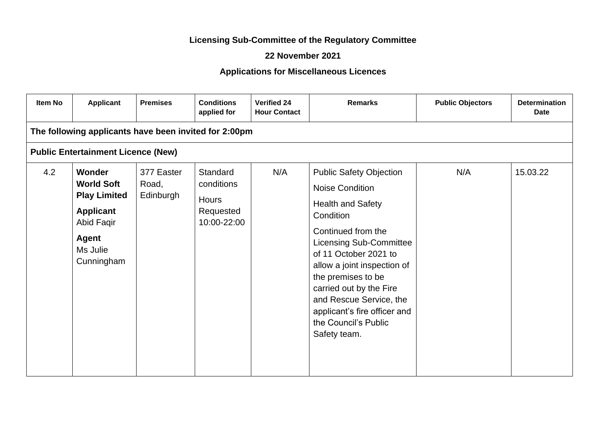## **Licensing Sub-Committee of the Regulatory Committee**

## **22 November 2021**

## **Applications for Miscellaneous Licences**

| Item No                                               | <b>Applicant</b>                                                                                                                      | <b>Premises</b>                  | <b>Conditions</b><br>applied for                                   | Verified 24<br><b>Hour Contact</b> | <b>Remarks</b>                                                                                                                                                                                                                                                                                                                                                        | <b>Public Objectors</b> | <b>Determination</b><br><b>Date</b> |  |  |  |
|-------------------------------------------------------|---------------------------------------------------------------------------------------------------------------------------------------|----------------------------------|--------------------------------------------------------------------|------------------------------------|-----------------------------------------------------------------------------------------------------------------------------------------------------------------------------------------------------------------------------------------------------------------------------------------------------------------------------------------------------------------------|-------------------------|-------------------------------------|--|--|--|
| The following applicants have been invited for 2:00pm |                                                                                                                                       |                                  |                                                                    |                                    |                                                                                                                                                                                                                                                                                                                                                                       |                         |                                     |  |  |  |
| <b>Public Entertainment Licence (New)</b>             |                                                                                                                                       |                                  |                                                                    |                                    |                                                                                                                                                                                                                                                                                                                                                                       |                         |                                     |  |  |  |
| 4.2                                                   | Wonder<br><b>World Soft</b><br><b>Play Limited</b><br><b>Applicant</b><br><b>Abid Faqir</b><br><b>Agent</b><br>Ms Julie<br>Cunningham | 377 Easter<br>Road,<br>Edinburgh | Standard<br>conditions<br><b>Hours</b><br>Requested<br>10:00-22:00 | N/A                                | <b>Public Safety Objection</b><br><b>Noise Condition</b><br><b>Health and Safety</b><br>Condition<br>Continued from the<br><b>Licensing Sub-Committee</b><br>of 11 October 2021 to<br>allow a joint inspection of<br>the premises to be<br>carried out by the Fire<br>and Rescue Service, the<br>applicant's fire officer and<br>the Council's Public<br>Safety team. | N/A                     | 15.03.22                            |  |  |  |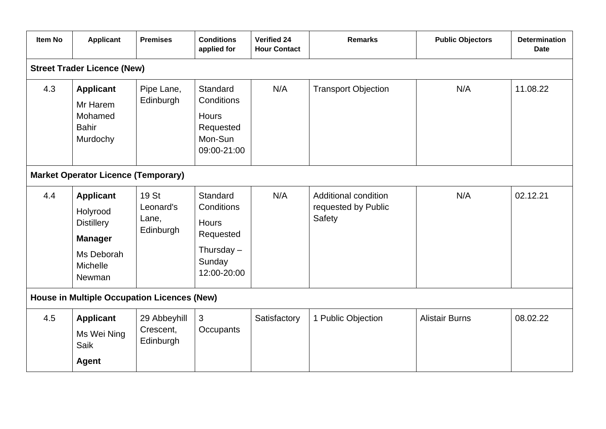| Item No                                            | <b>Applicant</b>                                                                                               | <b>Premises</b>                          | <b>Conditions</b><br>applied for                                                                    | Verified 24<br><b>Hour Contact</b> | <b>Remarks</b>                                        | <b>Public Objectors</b> | <b>Determination</b><br><b>Date</b> |  |  |  |
|----------------------------------------------------|----------------------------------------------------------------------------------------------------------------|------------------------------------------|-----------------------------------------------------------------------------------------------------|------------------------------------|-------------------------------------------------------|-------------------------|-------------------------------------|--|--|--|
|                                                    | <b>Street Trader Licence (New)</b>                                                                             |                                          |                                                                                                     |                                    |                                                       |                         |                                     |  |  |  |
| 4.3                                                | <b>Applicant</b><br>Mr Harem<br>Mohamed<br><b>Bahir</b><br>Murdochy                                            | Pipe Lane,<br>Edinburgh                  | Standard<br>Conditions<br><b>Hours</b><br>Requested<br>Mon-Sun<br>09:00-21:00                       | N/A                                | <b>Transport Objection</b>                            | N/A                     | 11.08.22                            |  |  |  |
| <b>Market Operator Licence (Temporary)</b>         |                                                                                                                |                                          |                                                                                                     |                                    |                                                       |                         |                                     |  |  |  |
| 4.4                                                | <b>Applicant</b><br>Holyrood<br><b>Distillery</b><br><b>Manager</b><br>Ms Deborah<br><b>Michelle</b><br>Newman | 19 St<br>Leonard's<br>Lane,<br>Edinburgh | <b>Standard</b><br>Conditions<br><b>Hours</b><br>Requested<br>Thursday $-$<br>Sunday<br>12:00-20:00 | N/A                                | Additional condition<br>requested by Public<br>Safety | N/A                     | 02.12.21                            |  |  |  |
| <b>House in Multiple Occupation Licences (New)</b> |                                                                                                                |                                          |                                                                                                     |                                    |                                                       |                         |                                     |  |  |  |
| 4.5                                                | <b>Applicant</b><br>Ms Wei Ning<br>Saik<br><b>Agent</b>                                                        | 29 Abbeyhill<br>Crescent,<br>Edinburgh   | 3<br>Occupants                                                                                      | Satisfactory                       | 1 Public Objection                                    | <b>Alistair Burns</b>   | 08.02.22                            |  |  |  |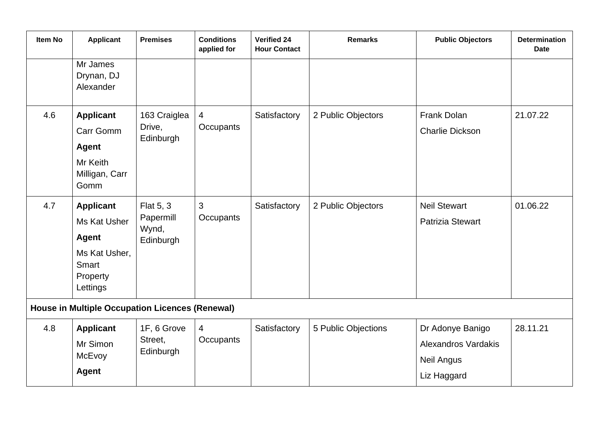| Item No                                                | <b>Applicant</b>                    | <b>Premises</b>      | <b>Conditions</b><br>applied for | Verified 24<br><b>Hour Contact</b> | <b>Remarks</b>      | <b>Public Objectors</b>    | <b>Determination</b><br><b>Date</b> |  |
|--------------------------------------------------------|-------------------------------------|----------------------|----------------------------------|------------------------------------|---------------------|----------------------------|-------------------------------------|--|
|                                                        | Mr James<br>Drynan, DJ<br>Alexander |                      |                                  |                                    |                     |                            |                                     |  |
| 4.6                                                    | <b>Applicant</b>                    | 163 Craiglea         | $\overline{4}$                   | Satisfactory                       | 2 Public Objectors  | <b>Frank Dolan</b>         | 21.07.22                            |  |
|                                                        | Carr Gomm                           | Drive,<br>Edinburgh  | Occupants                        |                                    |                     | <b>Charlie Dickson</b>     |                                     |  |
|                                                        | <b>Agent</b>                        |                      |                                  |                                    |                     |                            |                                     |  |
|                                                        | Mr Keith<br>Milligan, Carr<br>Gomm  |                      |                                  |                                    |                     |                            |                                     |  |
| 4.7                                                    | <b>Applicant</b>                    | <b>Flat 5, 3</b>     | 3                                | Satisfactory                       | 2 Public Objectors  | <b>Neil Stewart</b>        | 01.06.22                            |  |
|                                                        | Ms Kat Usher                        | Papermill<br>Wynd,   | Occupants                        |                                    |                     | <b>Patrizia Stewart</b>    |                                     |  |
|                                                        | <b>Agent</b>                        | Edinburgh            |                                  |                                    |                     |                            |                                     |  |
|                                                        | Ms Kat Usher,                       |                      |                                  |                                    |                     |                            |                                     |  |
|                                                        | Smart<br>Property                   |                      |                                  |                                    |                     |                            |                                     |  |
|                                                        | Lettings                            |                      |                                  |                                    |                     |                            |                                     |  |
| <b>House in Multiple Occupation Licences (Renewal)</b> |                                     |                      |                                  |                                    |                     |                            |                                     |  |
| 4.8                                                    | <b>Applicant</b>                    | 1F, 6 Grove          | $\overline{4}$                   | Satisfactory                       | 5 Public Objections | Dr Adonye Banigo           | 28.11.21                            |  |
|                                                        | Mr Simon                            | Street,<br>Edinburgh | Occupants                        |                                    |                     | <b>Alexandros Vardakis</b> |                                     |  |
|                                                        | McEvoy                              |                      |                                  |                                    |                     | <b>Neil Angus</b>          |                                     |  |
|                                                        | <b>Agent</b>                        |                      |                                  |                                    |                     | Liz Haggard                |                                     |  |